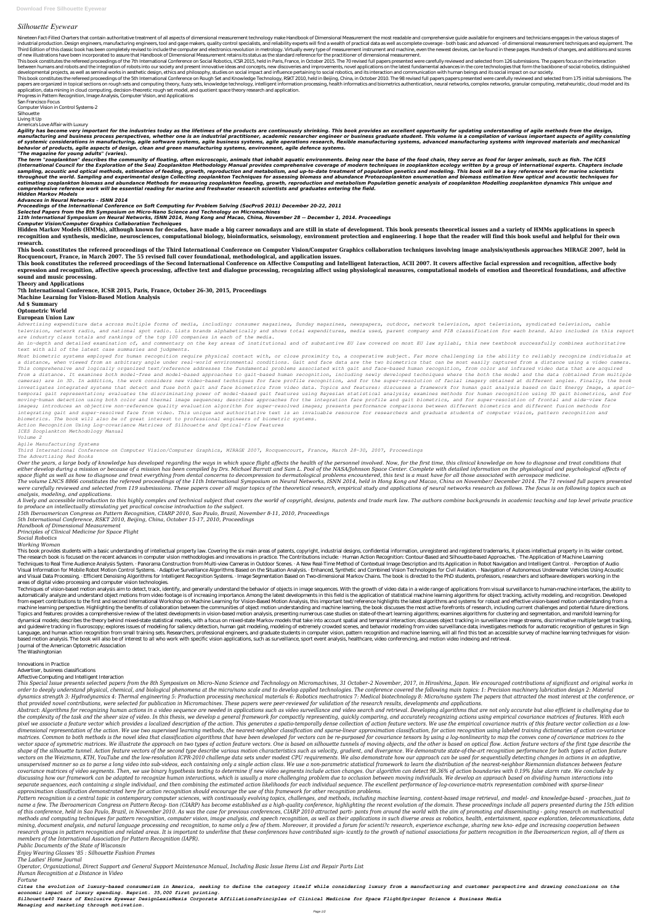## *Silhouette Eyewear*

Nineteen Fact-Filled Charters that contain authoritative treatment of all aspects of dimensional measurement technology make Handbook of Dimensional Measurement the most readable and comprehensive quide available for engin industrial production. Design engineers, manufacturing engineers, tool and gage makers, quality control specialists, and reliability experts will find a wealth of practical data as well as complete coverage - both basic an Third Edition of this classic book has been completely revised to include the computer and electronics revolution in metrology. Virtually every type of measurement instrument and machine, even the newest devices, can be fo of new illustrations have been incorporated to assure that Handbook of Dimensional Measurement retains its status as the standard reference for the practitioner of dimensional measurement.

This book constitutes the refereed proceedings of the 7th International Conference on Social Robotics, ICSR 2015, held in Paris, France, in October 2015. The 70 revised full papers presented were carefully reviewed and sel between humans and robots and the integration of robots into our society and present innovative ideas and concepts, new discoveries and improvements, novel applications on the latest fundamental advances in the core techno developmental projects, as well as seminal works in aesthetic design, ethics and philosophy, studies on social impact and influence pertaining to social robotics, and its interaction and communication with human beings and

This book constitutes the refereed proceedings of the 5th International Conference on Rough Set and Knowledge Technology, RSKT 2010, held in Beijing, China, in October 2010. The 98 revised full papers papers presented were papers are organized in topical sections on rough sets and computing theory, fuzzy sets, knowledge technology, intelligent information processing, health informatics and biometrics authentication, neural networks, complex application, data mining in cloud computing, decision-theoretic rough set model, and quotient space theory research and application.

Agility has become very important for the industries today as the lifetimes of the products are continuously shrinking. This book provides an excellent opportunity for updating understanding of agile methods from the desig manufacturing and business process perspectives, whether one is an industrial practitioner, academic researcher engineer or business graduate student. This volume is a compilation of various important aspects of agility co of systemic considerations in manufacturing, agile software systems, agile business systems, agile operations research, flexible manufacturing systems, advanced manufacturing systems with improved materials and mechanical *behavior of products, agile aspects of design, clean and green manufacturing systems, environment, agile defence systems.*

The term "zooplankton" describes the community of floating, often microscopic, animals that inhabit aquatic environments. Being near the base of the food chain, they serve as food for larger animals, such as fish. The ICES (International Council for the Exploration of the Sea) Zooplankton Methodology Manual provides comprehensive coverage of modern techniques in zooplankton ecology written by a group of international experts. Chapters includ sampling, acoustic and optical methods, estimation of feeding, growth, reproduction and metabolism, and up-to-date treatment of population genetics and modeling. This book will be a key reference work for marine scientists *throughout the world. Sampling and experimental design Collecting zooplankton Techniques for assessing biomass and abundance Protozooplankton enumeration and biomass estimation New optical and acoustic techniques for estimating zooplankton biomass and abundance Methods for measuring zooplankton feeding, growth, reproduction and metabolism Population genetic analysis of zooplankton Modelling zooplankton dynamics This unique and comprehensive reference work will be essential reading for marine and freshwater research scientists and graduates entering the field.*

Progress in Pattern Recognition, Image Analysis, Computer Vision, and Applications

San Francisco Focus

Computer Vision in Control Systems-2

Silhouette

Living It Up

America's Love Affair with Luxury

This book constitutes the refereed proceedings of the Second International Conference on Affective Computing and Intelligent Interaction, ACII 2007. It covers affective facial expression and recognition, affective body expression and recognition, affective speech processing, affective text and dialogue processing, recognizing affect using physiological measures, computational models of emotion and theoretical foundations, and affective **sound and music processing.**

*"The magazine for young adults" (varies).*

*Hidden Markov Models*

*Advances in Neural Networks – ISNN 2014*

*Proceedings of the International Conference on Soft Computing for Problem Solving (SocProS 2011) December 20-22, 2011*

*Selected Papers from the 8th Symposium on Micro-Nano Science and Technology on Micromachines*

*11th International Symposium on Neural Networks, ISNN 2014, Hong Kong and Macao, China, November 28 -- December 1, 2014. Proceedings*

*Computer Vision/Computer Graphics Collaboration Techniques*

Over the years, a large body of knowledge has developed regarding the ways in which space flight affects the health of the personnel involved. Now, for the first time, this clinical knowledge on how to diagnose and treat c either develop during a mission or because of a mission has been compiled by Drs. Michael Barratt and Sam L. Pool of the NASA/Johnson Space Center. Complete with detailed information on the physiological and psychological *space flight as well as how to diagnose and treat everything from dental concerns to decompression to dermatological problems encountered, this text is a must have for all those associated with aerospace medicine.*

**Hidden Markov Models (HMMs), although known for decades, have made a big career nowadays and are still in state of development. This book presents theoretical issues and a variety of HMMs applications in speech** recognition and synthesis, medicine, neurosciences, computational biology, bioinformatics, seismology, environment protection and engineering. I hope that the reader will find this book useful and helpful for their own **research.**

The volume LNCS 8866 constitutes the refereed proceedings of the 11th International Symposium on Neural Networks, ISNN 2014, held in Hong Kong and Macao, China on November/ December 2014. The 71 revised full papers present were carefully reviewed and selected from 119 submissions. These papers cover all major topics of the theoretical research, empirical study and applications of neural networks research as follows. The focus is on following *analysis, modeling, and applications.*

A lively and accessible introduction to this highly complex and technical subject that covers the world of copyright, designs, patents and trade mark law. The authors combine backgrounds in academic teaching and top level *to produce an intellectually stimulating yet practical concise introduction to the subject.*

**This book constitutes the refereed proceedings of the Third International Conference on Computer Vision/Computer Graphics collaboration techniques involving image analysis/synthesis approaches MIRAGE 2007, held in Rocquencourt, France, in March 2007. The 55 revised full cover foundational, methodological, and application issues.**

This book provides students with a basic understanding of intellectual property law. Covering the six main areas of patents, copyright, industrial designs, confidential information, unregistered and registered trademarks, The research book is focused on the recent advances in computer vision methodologies and innovations in practice. The Contributions include: · Human Action Recognition: Contour-Based and Silhouette-based Approaches. · The Techniques to Real Time Audience Analysis System. · Panorama Construction from Multi-view Cameras in Outdoor Scenes. · A New Real-Time Method of Contextual Image Description and Its Application in Robot Navigation and Inte Visual Information for Mobile Robot Motion Control Systems. · Adaptive Surveillance Algorithms Based on the Situation Analysis. · Enhanced, Synthetic and Combined Vision Technologies for Civil Aviation. · Navigation of Aut and Visual Data Processing. · Efficient Denoising Algorithms for Intelligent Recognition Systems. · Image Segmentation Based on Two-dimensional Markov Chains. The book is directed to the PhD students, professors, researche areas of digital video processing and computer vision technologies.

**Theory and Applications**

**7th International Conference, ICSR 2015, Paris, France, October 26-30, 2015, Proceedings**

**Machine Learning for Vision-Based Motion Analysis**

**Ad \$ Summary**

**Optometric World**

**European Union Law**

*Advertising expenditure data across multiple forms of media, including: consumer magazines, Sunday magazines, newspapers, outdoor, network television, spot television, syndicated television, cable television, network radio, and national spot radio. Lists brands alphabetically and shows total expenditures, media used, parent company and PIB classification for each brand. Also included in this report are industry class totals and rankings of the top 100 companies in each of the media.*

*An in-depth and detailed examination of, and commentary on the key areas of institutional and of substantive EU law covered on most EU law syllabi, this new textbook successfully combines authoritative*

*text with all of the latest case summaries and judgments.*

Techniques of vision-based motion analysis aim to detect, track, identify, and generally understand the behavior of objects in image sequences. With the growth of video data in a wide range of applications from visual surv automatically analyze and understand object motions from video footage is of increasing importance. Among the latest developments in this field is the application of statistical machine learning algorithms for object track from expert contributions to the first and second International Workshop on Machine Learning for Vision-Based Motion Analysis, this important text/reference highlights the latest algorithms and systems for robust and effec machine learning perspective. Highlighting the benefits of collaboration between the communities of object motion understanding and machine learning, the book discusses the most active forefronts of research, including cur Topics and features: provides a comprehensive review of the latest developments in vision-based motion analysis, presenting numerous case studies on state-of-the-art learning algorithms; examines algorithms for clustering dynamical models; describes the theory behind mixed-state statistical models, with a focus on mixed-state Markov models that take into account spatial and temporal interaction; discusses object tracking in surveillance ima and guidewire tracking in fluoroscopy: explores issues of modeling for saliency detection. human gait modeling, modeling of extremely crowded scenes, and behavior modeling from video surveillance data; investigates methods Language, and human action recognition from small training sets. Researchers, professional engineers, and graduate students in computer vision, pattern recognition and machine learning, will all find this text an accessibl based motion analysis. The book will also be of interest to all who work with specific vision applications, such as surveillance, sport event analysis, healthcare, video conferencing, and motion video indexing and retrieval. Journal of the American Optometric Association

*Most biometric systems employed for human recognition require physical contact with, or close proximity to, a cooperative subject. Far more challenging is the ability to reliably recognize individuals at a distance, when viewed from an arbitrary angle under real-world environmental conditions. Gait and face data are the two biometrics that can be most easily captured from a distance using a video camera. This comprehensive and logically organized text/reference addresses the fundamental problems associated with gait and face-based human recognition, from color and infrared video data that are acquired from a distance. It examines both model-free and model-based approaches to gait-based human recognition, including newly developed techniques where the both the model and the data (obtained from multiple cameras) are in 3D. In addition, the work considers new video-based techniques for face profile recognition, and for the super-resolution of facial imagery obtained at different angles. Finally, the book investigates integrated systems that detect and fuse both gait and face biometrics from video data. Topics and features: discusses a framework for human gait analysis based on Gait Energy Image, a spatiotemporal gait representation; evaluates the discriminating power of model-based gait features using Bayesian statistical analysis; examines methods for human recognition using 3D gait biometrics, and for moving-human detection using both color and thermal image sequences; describes approaches for the integration face profile and gait biometrics, and for super-resolution of frontal and side-view face images; introduces an objective non-reference quality evaluation algorithm for super-resolved images; presents performance comparisons between different biometrics and different fusion methods for integrating gait and super-resolved face from video. This unique and authoritative text is an invaluable resource for researchers and graduate students of computer vision, pattern recognition and biometrics. The book will also be of great interest to professional engineers of biometric systems.*

*Action Recognition Using Log-covariance Matrices of Silhouette and Optical-flow Features*

*ICES Zooplankton Methodology Manual*

*Volume 2*

*Agile Manufacturing Systems*

*Third International Conference on Computer Vision/Computer Graphics, MIRAGE 2007, Rocquencourt, France, March 28-30, 2007, Proceedings*

*The Advertising Red Books*

This Special Issue presents selected papers from the 8th Symposium on Micro-Nano Science and Technology on Micromachines, 31 October-2 November, 2017, in Hiroshima, Japan. We encouraged contributions of significant and ori order to deeply understand physical, chemical, and biological phenomena at the micro/nano scale and to develop applied technologies. The conference covered the following main topics: 1: Precision machinery lubrication desi dynamics strength 3: Hydrodynamics 4: Thermal engineering 5: Production processing mechanical materials 6: Robotics mechatronics 7: Medical biotechnology 8: Micro/nano system The papers that attracted the most interest at *that provided novel contributions, were selected for publication in Micromachines. These papers were peer-reviewed for validation of the research results, developments and applications.* Abstract: Algorithms for recognizing human actions in a video seguence are needed in applications such as video surveillance and video search and retrieval. Developing algorithms that are not only accurate but also efficie the complexity of the task and the sheer size of video. In this thesis, we develop a general framework for compactly representing, quickly comparing, and accurately recognizing actions using empirical covariance matrices o pixel we associate a feature vector which provides a localized description of the action. This generates a spatio-temporally dense collection of action feature vectors. We use the empirical covariance matrix of this featur dimensional representation of the action. We use two supervised learning methods, the nearest-neighbor classification and sparse-linear approximation classification, for action recognition using labeled training dictionari matrices. Common to both methods is the novel idea that classification algorithms that have been developed for vectors can be re-purposed for covariance tensors by using a log-nonlinearity to map the convex cone of covaria vector space of symmetric matrices. We illustrate the approach on two types of action feature vectors. One is based on silhouette tunnels of moving objects, and the other is based on optical flow. Action feature vectors of shape of the silhouette tunnel. Action feature vectors of the second type describe various motion characteristics such as velocity, gradient, and divergence. We demonstrate state-of-the-art recognition performance for both vectors on the Weizmann, KTH, YouTube and the low-resolution ICPR-2010 challenge data sets under modest CPU requirements. We also demonstrate how our approach can be used for sequentially detecting changes in actions in an unsupervised manner so as to parse a long video into sub-videos, each containing only a single action class. We use a non-parametric statistical framework to learn the distribution of the nearest-neighbor Riemannian distan covariance matrices of video segments. Then, we use binary hypothesis testing to determine if new video segments include action changes. Our algorithm can detect 98.36% of action boundaries with 0.19% false alarm rate. We discussing how our framework can be adapted to recognize human interactions, which is usually a more challenging problem due to occlusion between moving individuals. We develop an approach based on dividing human interacti separate sequences, each containing a single individual, and then combining the estimated action likelihoods for each individual sequence. The excellent performance of log-covariance-matrix representation combined with spa *approximation classification demonstrated here for action recognition should encourage the use of this framework for other recognition problems.* Pattern recognition is a central topic in contemporary computer sciences, with continuously evolving topics, challenges, and methods, including machine learning, content-based image retrieval, and model- and knowledge-base name a few. The Iberoamerican Congress on Pattern Recog- tion (CIARP) has become established as a high-quality conference, highlighting the recent evolution of the domain. These proceedings include all papers presented dur of this conference, held in Sao Paulo, Brazil, in November 2010. As was the case for previous conferences, CIARP 2010 attracted parti- pants from around the world with the aim of promotina and disseminatina - aoina researc methods and computing techniques for pattern recognition, computer vision, image analysis, and speech recognition, as well as their applications in such diverse areas as robotics, health, entertainment, space exploration, mining, document analysis, and natural language processing and recognition, to name only a few of them. Moreover, it provided a forum for scienti?c research, experience exchange, sharing new kno- edge and increasing cooper research aroups in pattern recoanition and related areas. It is important to underline that these conferences have contributed sian- icantly to the arowth of national associations for pattern recoanition in the Iberoameric *members of the International Association for Pattern Recognition (IAPR).*

*15th Iberoamerican Congress on Pattern Recognition, CIARP 2010, Sao Paulo, Brazil, November 8-11, 2010, Proceedings*

*5th International Conference, RSKT 2010, Beijing, China, October 15-17, 2010, Proceedings*

*Handbook of Dimensional Measurement*

*Principles of Clinical Medicine for Space Flight*

*Social Robotics*

*Working Woman*

The Washingtonian

## Innovations in Practice

Advertiser, business classifications

Affective Computing and Intelligent Interaction

*Public Documents of the State of Wisconsin*

*Enjoy Wearing Glasses '85 : Silhouette Fashion Frames*

*The Ladies' Home Journal*

*Operator, Organizational, Direct Support and General Support Maintenance Manual, Including Basic Issue Items List and Repair Parts List*

*Human Recognition at a Distance in Video*

*Fortune*

*Cites the evolution of luxury-based consumerism in America, seeking to define the category itself while considering luxury from a manufacturing and customer perspective and drawing conclusions on the economic impact of luxury spending. Reprint. 35,000 first printing.*

*Silhouette40 Years of Exclusive Eyewear DesignLexisNexis Corporate AffiliationsPrinciples of Clinical Medicine for Space FlightSpringer Science & Business Media Managing and marketing through motivation.*